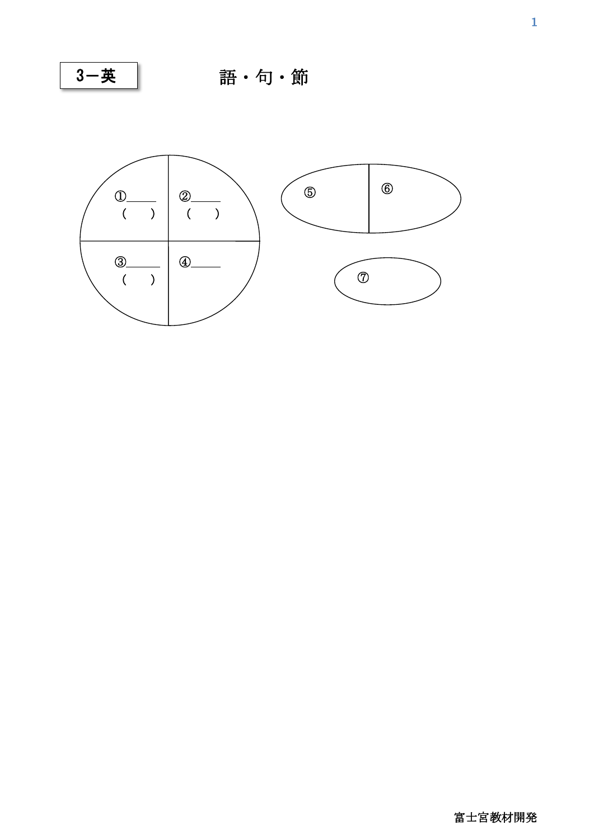3-英

語・句・節

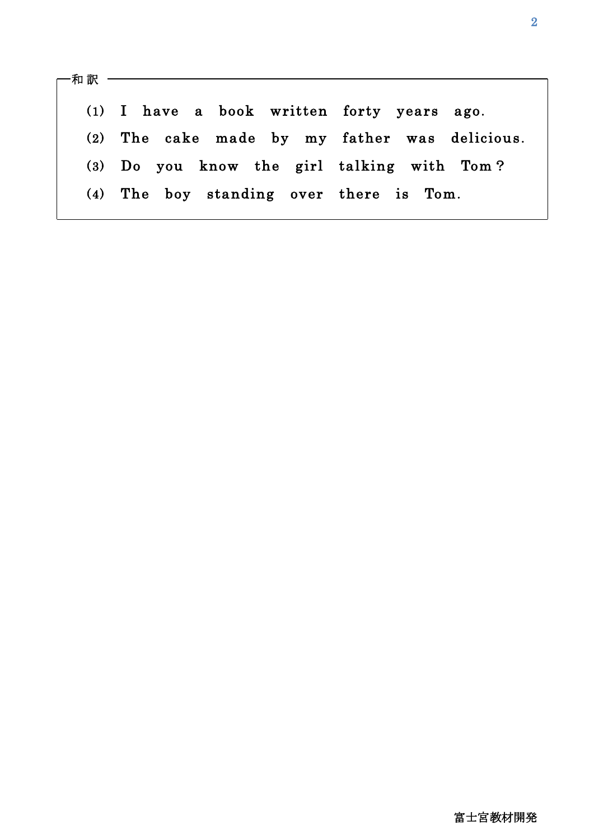和 訳 - $\overline{\phantom{a}}$  (1) I have a book written forty years ago. (2) The cake made by my father was delicious. (3) Do you know the girl talking with Tom? (4) The boy standing over there is Tom.

 $\overline{\phantom{a}}$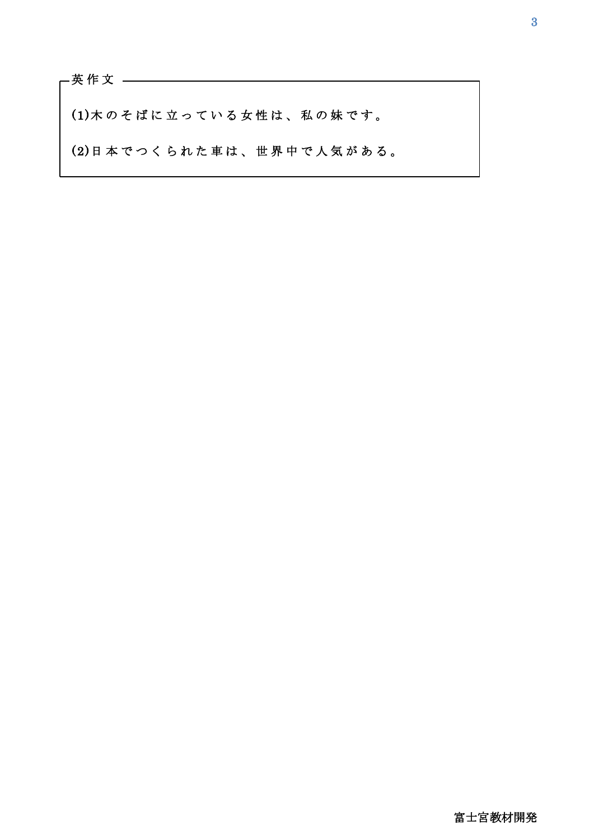(1) 木のそばに立っている女性は、私の妹です。

(2)日 本 で つ く ら れ た 車 は 、 世 界 中 で 人 気 が あ る 。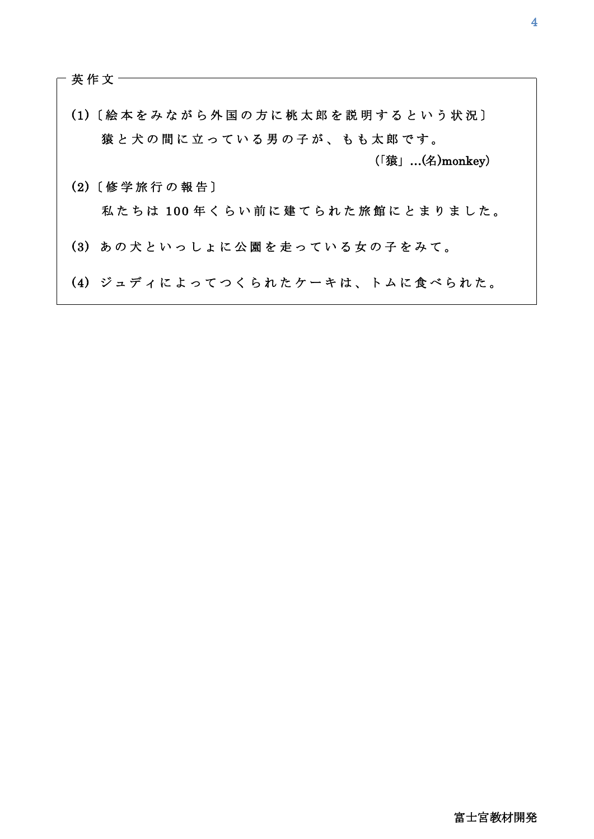英作文 ·

 $\mathsf{I}$ 

 $\overline{\phantom{a}}$ 

 $\overline{\phantom{a}}$ 

 $\overline{\phantom{a}}$ 

(1)〔 絵 本 を み な が ら 外 国 の 方 に 桃 太 郎 を 説 明 す る と い う 状 況 〕 猿と犬の間に立っている男の子が、もも太郎です。 (2)〔 修 学 旅 行 の 報 告 〕 私たちは 100年くらい前に建てられた旅館にとまりました。 (3) あの犬といっしょに公園を走っている女の子をみて。 (4) ジュディによってつくられたケーキは、トムに食べられた。 (「猿」…(名)monkey)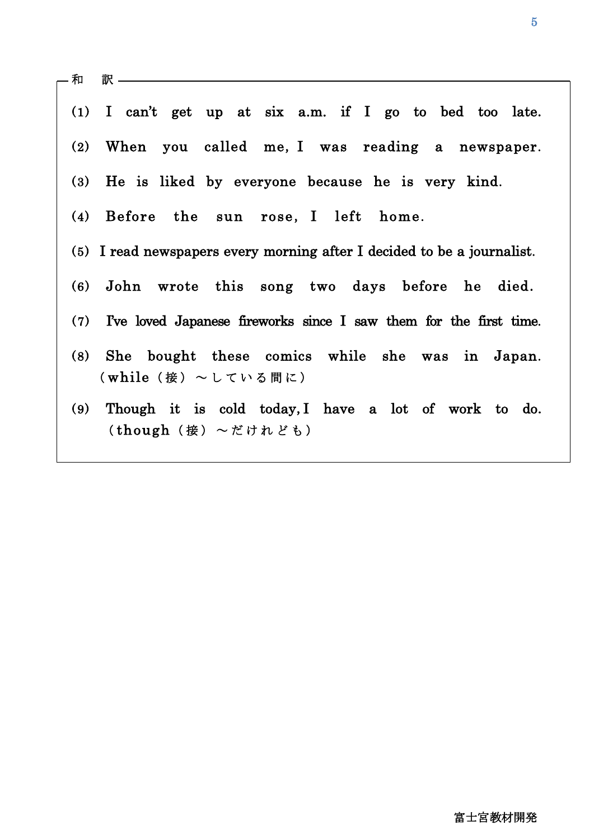|     | — 和   訳 ——————————————                                                    |
|-----|---------------------------------------------------------------------------|
|     |                                                                           |
|     | $(1)$ I can't get up at six a.m. if I go to bed too late.                 |
|     | (2) When you called me, I was reading a newspaper.                        |
|     | (3) He is liked by everyone because he is very kind.                      |
|     | (4) Before the sun rose, I left home.                                     |
|     | (5) I read newspapers every morning after I decided to be a journalist.   |
|     | (6) John wrote this song two days before he died.                         |
|     | $(7)$ Tve loved Japanese fireworks since I saw them for the first time.   |
|     | (8) She bought these comics while she was in Japan.<br>(while(接)~している間に)  |
| (9) | Though it is cold today, I have a lot of work to do.<br>(though(接)~だけれども) |
|     |                                                                           |

 $\overline{a}$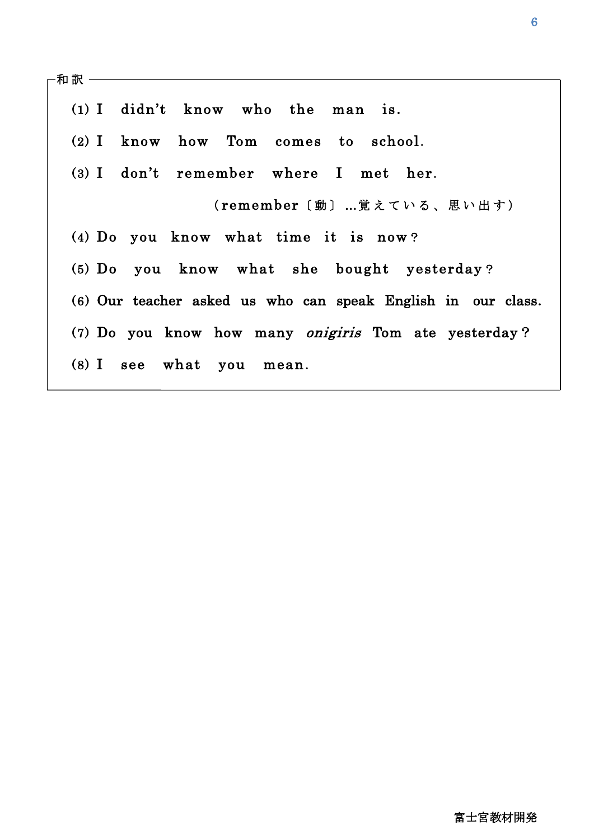| ·和 訳 ―――――― |                                                              |
|-------------|--------------------------------------------------------------|
|             | $(1)$ I didn't know who the man is.                          |
|             | (2) I know how Tom comes to school.                          |
|             | (3) I don't remember where I met her.                        |
|             | (remember〔動〕…覚えている、思い出す)                                     |
|             | (4) Do you know what time it is now?                         |
|             | (5) Do you know what she bought yesterday?                   |
|             | (6) Our teacher asked us who can speak English in our class. |
|             | (7) Do you know how many <i>onigiris</i> Tom ate yesterday?  |
|             | (8) I see what you mean.                                     |
|             |                                                              |